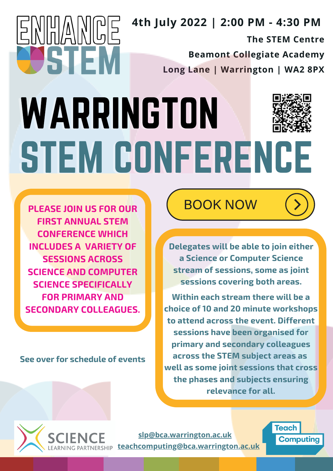## **4th July 2022 | 2:00 PM - 4:30 PM**

**The STEM Centre**

**Beamont Collegiate Academy**

**Long Lane | Warrington | WA2 8PX**

## STEM CONFERENCE WARRINGTON

**PLEASE JOIN US FOR OUR FIRST ANNUAL STEM CONFERENCE WHICH INCLUDES A VARIETY OF SESSIONS ACROSS SCIENCE AND COMPUTER SCIENCE SPECIFICALLY FOR PRIMARY AND SECONDARY COLLEAGUES.**

EMPIAINEE

51

**See over for schedule of events**

**BOOK NOW** 

**Delegates will be able to join either a Science or Computer Science stream of sessions, some as joint sessions covering both areas.**

**Within each stream there will be a choice of 10 and 20 minute workshops to attend across the event. Different sessions have been organised for primary and secondary colleagues across the STEM subject areas as well as some joint sessions that cross the phases and subjects ensuring relevance for all.**



**[slp@bca.warrington.ac.uk](mailto:slp@bca.warrington.ac.uk) [teachcomputing@bca.warrington.ac.uk](mailto:teachcomputing@bca.warrington.ac.uk)**